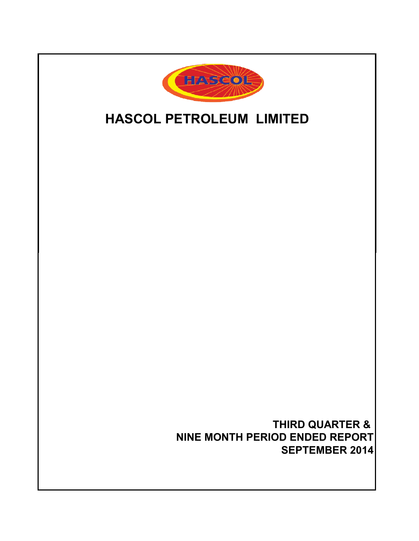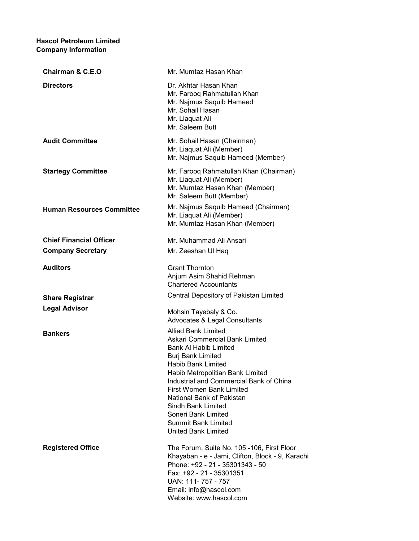# Hascol Petroleum Limited Company Information

| <b>Chairman &amp; C.E.O</b>      | Mr. Mumtaz Hasan Khan                                                                                                                                                                                                                                                                                                                                                                                         |
|----------------------------------|---------------------------------------------------------------------------------------------------------------------------------------------------------------------------------------------------------------------------------------------------------------------------------------------------------------------------------------------------------------------------------------------------------------|
| <b>Directors</b>                 | Dr. Akhtar Hasan Khan<br>Mr. Farooq Rahmatullah Khan<br>Mr. Najmus Saquib Hameed<br>Mr. Sohail Hasan<br>Mr. Liaquat Ali<br>Mr. Saleem Butt                                                                                                                                                                                                                                                                    |
| <b>Audit Committee</b>           | Mr. Sohail Hasan (Chairman)<br>Mr. Liaquat Ali (Member)<br>Mr. Najmus Saquib Hameed (Member)                                                                                                                                                                                                                                                                                                                  |
| <b>Startegy Committee</b>        | Mr. Farooq Rahmatullah Khan (Chairman)<br>Mr. Liaquat Ali (Member)<br>Mr. Mumtaz Hasan Khan (Member)<br>Mr. Saleem Butt (Member)                                                                                                                                                                                                                                                                              |
| <b>Human Resources Committee</b> | Mr. Najmus Saquib Hameed (Chairman)<br>Mr. Liaquat Ali (Member)<br>Mr. Mumtaz Hasan Khan (Member)                                                                                                                                                                                                                                                                                                             |
| <b>Chief Financial Officer</b>   | Mr. Muhammad Ali Ansari                                                                                                                                                                                                                                                                                                                                                                                       |
| <b>Company Secretary</b>         | Mr. Zeeshan UI Haq                                                                                                                                                                                                                                                                                                                                                                                            |
| <b>Auditors</b>                  | <b>Grant Thornton</b><br>Anjum Asim Shahid Rehman<br><b>Chartered Accountants</b>                                                                                                                                                                                                                                                                                                                             |
| <b>Share Registrar</b>           | Central Depository of Pakistan Limited                                                                                                                                                                                                                                                                                                                                                                        |
| <b>Legal Advisor</b>             | Mohsin Tayebaly & Co.<br><b>Advocates &amp; Legal Consultants</b>                                                                                                                                                                                                                                                                                                                                             |
| <b>Bankers</b>                   | <b>Allied Bank Limited</b><br>Askari Commercial Bank Limited<br><b>Bank AI Habib Limited</b><br><b>Burj Bank Limited</b><br><b>Habib Bank Limited</b><br>Habib Metropolitian Bank Limited<br>Industrial and Commercial Bank of China<br><b>First Women Bank Limited</b><br>National Bank of Pakistan<br>Sindh Bank Limited<br>Soneri Bank Limited<br><b>Summit Bank Limited</b><br><b>United Bank Limited</b> |
| <b>Registered Office</b>         | The Forum, Suite No. 105 -106, First Floor<br>Khayaban - e - Jami, Clifton, Block - 9, Karachi<br>Phone: +92 - 21 - 35301343 - 50<br>Fax: +92 - 21 - 35301351<br>UAN: 111-757 - 757<br>Email: info@hascol.com<br>Website: www.hascol.com                                                                                                                                                                      |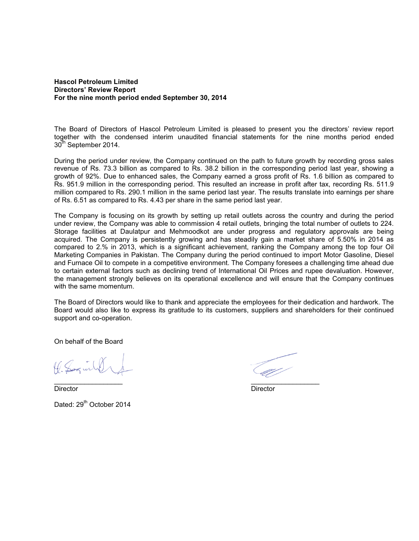# **Hascol Petroleum Limited Directors' Review Report For the nine month period ended September 30, 2014**

The Board of Directors of Hascol Petroleum Limited is pleased to present you the directors' review report together with the condensed interim unaudited financial statements for the nine months period ended 30<sup>th</sup> September 2014.

During the period under review, the Company continued on the path to future growth by recording gross sales revenue of Rs. 73.3 billion as compared to Rs. 38.2 billion in the corresponding period last year, showing a growth of 92%. Due to enhanced sales, the Company earned a gross profit of Rs. 1.6 billion as compared to Rs. 951.9 million in the corresponding period. This resulted an increase in profit after tax, recording Rs. 511.9 million compared to Rs. 290.1 million in the same period last year. The results translate into earnings per share of Rs. 6.51 as compared to Rs. 4.43 per share in the same period last year.

The Company is focusing on its growth by setting up retail outlets across the country and during the period under review, the Company was able to commission 4 retail outlets, bringing the total number of outlets to 224. Storage facilities at Daulatpur and Mehmoodkot are under progress and regulatory approvals are being acquired. The Company is persistently growing and has steadily gain a market share of 5.50% in 2014 as compared to 2.% in 2013, which is a significant achievement, ranking the Company among the top four Oil Marketing Companies in Pakistan. The Company during the period continued to import Motor Gasoline, Diesel and Furnace Oil to compete in a competitive environment. The Company foresees a challenging time ahead due to certain external factors such as declining trend of International Oil Prices and rupee devaluation. However, the management strongly believes on its operational excellence and will ensure that the Company continues with the same momentum.

The Board of Directors would like to thank and appreciate the employees for their dedication and hardwork. The Board would also like to express its gratitude to its customers, suppliers and shareholders for their continued support and co-operation.

On behalf of the Board

1. Sogin

Director Director Dated: 29<sup>th</sup> October 2014

 $\overline{\phantom{a}}$  , and the contract of the contract of the contract of the contract of the contract of the contract of the contract of the contract of the contract of the contract of the contract of the contract of the contrac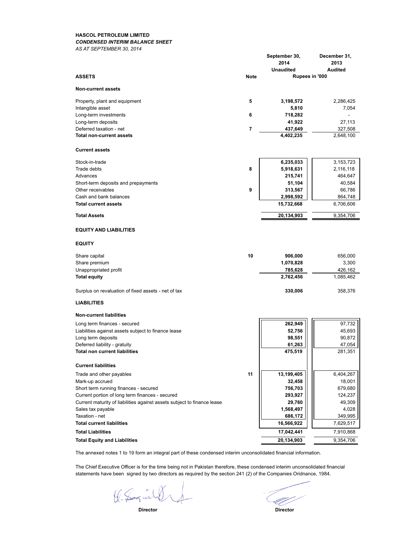### **HASCOL PETROLEUM LIMITED** *CONDENSED INTERIM BALANCE SHEET*

*AS AT SEPTEMBER 30, 2014*

|                                                                         | <b>Note</b> | September 30,<br>2014<br><b>Unaudited</b><br>Rupees in '000 | December 31,<br>2013<br>Audited |
|-------------------------------------------------------------------------|-------------|-------------------------------------------------------------|---------------------------------|
| <b>ASSETS</b>                                                           |             |                                                             |                                 |
| <b>Non-current assets</b>                                               |             |                                                             |                                 |
| Property, plant and equipment                                           | 5           | 3,198,572                                                   | 2,286,425                       |
| Intangible asset                                                        |             | 5,810                                                       | 7,054                           |
| Long-term investments                                                   | 6           | 718,282<br>41,922                                           | 27,113                          |
| Long-term deposits<br>Deferred taxation - net                           | 7           | 437,649                                                     | 327,508                         |
| <b>Total non-current assets</b>                                         |             | 4,402,235                                                   | 2,648,100                       |
| <b>Current assets</b>                                                   |             |                                                             |                                 |
| Stock-in-trade                                                          |             | 6,235,033                                                   | 3,153,723                       |
| Trade debts                                                             | 8           | 5,918,631                                                   | 2,116,118                       |
| Advances                                                                |             | 215,741                                                     | 464,647                         |
| Short-term deposits and prepayments                                     |             | 51,104                                                      | 40,584                          |
| Other receivables                                                       | 9           | 313,567                                                     | 66,786                          |
| Cash and bank balances<br><b>Total current assets</b>                   |             | 2,998,592<br>15,732,668                                     | 864,748<br>6,706,606            |
| <b>Total Assets</b>                                                     |             | 20,134,903                                                  | 9,354,706                       |
|                                                                         |             |                                                             |                                 |
| <b>EQUITY AND LIABILITIES</b>                                           |             |                                                             |                                 |
| <b>EQUITY</b>                                                           |             |                                                             |                                 |
| Share capital                                                           | 10          | 906,000                                                     | 656,000                         |
| Share premium                                                           |             | 1,070,828                                                   | 3,300                           |
| Unappropriated profit                                                   |             | 785,628                                                     | 426,162                         |
| <b>Total equity</b>                                                     |             | 2,762,456                                                   | 1,085,462                       |
| Surplus on revaluation of fixed assets - net of tax                     |             | 330,006                                                     | 358,376                         |
| <b>LIABILITIES</b>                                                      |             |                                                             |                                 |
| <b>Non-current liabilities</b>                                          |             |                                                             |                                 |
| Long term finances - secured                                            |             | 262,949                                                     | 97,732                          |
| Liabilities against assets subject to finance lease                     |             | 52,756                                                      | 45,693                          |
| Long term deposits                                                      |             | 98,551<br>61,263                                            | 90,872<br>47,054                |
| Deferred liability - gratuity<br><b>Total non current liabilities</b>   |             | 475,519                                                     | 281,351                         |
| <b>Current liabilities</b>                                              |             |                                                             |                                 |
| Trade and other payables                                                | 11          | 13,199,405                                                  | 6,404,267                       |
| Mark-up accrued                                                         |             | 32,458                                                      | 18,001                          |
| Short term running finances - secured                                   |             | 756,703                                                     | 679,680                         |
| Current portion of long term finances - secured                         |             | 293,927                                                     | 124,237                         |
| Current maturity of liabilities against assets subject to finance lease |             | 29,760                                                      | 49,309                          |
| Sales tax payable                                                       |             | 1,568,497                                                   | 4,028                           |
| Taxation - net<br><b>Total current liabilities</b>                      |             | 686,172<br>16,566,922                                       | 349,995<br>7,629,517            |
| <b>Total Liabilities</b>                                                |             | 17,042,441                                                  | 7,910,868                       |
|                                                                         |             | 20,134,903                                                  | 9,354,706                       |
| <b>Total Equity and Liabilities</b>                                     |             |                                                             |                                 |

The annexed notes 1 to 19 form an integral part of these condensed interim unconsolidated financial information.

The Chief Executive Officer is for the time being not in Pakistan therefore, these condensed interim unconsolidated financial statements have been signed by two directors as required by the section 241 (2) of the Companies Oridnance, 1984.

K. Saguild

<u>U</u>

 **Director Director**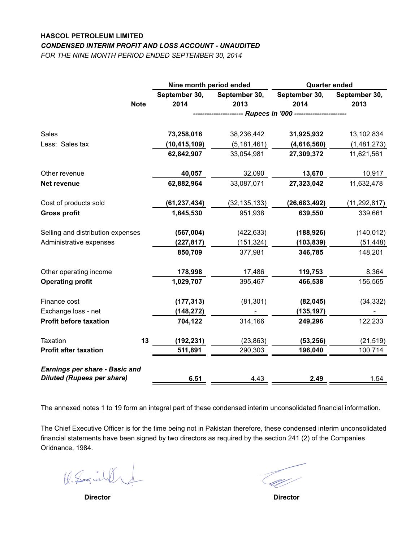# **HASCOL PETROLEUM LIMITED** *CONDENSED INTERIM PROFIT AND LOSS ACCOUNT - UNAUDITED*

*FOR THE NINE MONTH PERIOD ENDED SEPTEMBER 30, 2014*

|                                       |             | Nine month period ended |                | <b>Quarter ended</b> |                |  |
|---------------------------------------|-------------|-------------------------|----------------|----------------------|----------------|--|
|                                       |             | September 30,           | September 30,  | September 30,        | September 30,  |  |
|                                       | <b>Note</b> | 2014                    | 2013           | 2014                 | 2013           |  |
|                                       |             |                         |                |                      |                |  |
| Sales                                 |             | 73,258,016              | 38,236,442     | 31,925,932           | 13,102,834     |  |
| Less: Sales tax                       |             | (10, 415, 109)          | (5, 181, 461)  | (4,616,560)          | (1,481,273)    |  |
|                                       |             | 62,842,907              | 33,054,981     | 27,309,372           | 11,621,561     |  |
| Other revenue                         |             | 40,057                  | 32,090         | 13,670               | 10,917         |  |
| Net revenue                           |             | 62,882,964              | 33,087,071     | 27,323,042           | 11,632,478     |  |
| Cost of products sold                 |             | (61, 237, 434)          | (32, 135, 133) | (26, 683, 492)       | (11, 292, 817) |  |
| <b>Gross profit</b>                   |             | 1,645,530               | 951,938        | 639,550              | 339,661        |  |
| Selling and distribution expenses     |             | (567,004)               | (422, 633)     | (188, 926)           | (140, 012)     |  |
| Administrative expenses               |             | (227,817)               | (151, 324)     | (103, 839)           | (51, 448)      |  |
|                                       |             | 850,709                 | 377,981        | 346,785              | 148,201        |  |
| Other operating income                |             | 178,998                 | 17,486         | 119,753              | 8,364          |  |
| <b>Operating profit</b>               |             | 1,029,707               | 395,467        | 466,538              | 156,565        |  |
| Finance cost                          |             | (177, 313)              | (81, 301)      | (82, 045)            | (34, 332)      |  |
| Exchange loss - net                   |             | (148, 272)              |                | (135, 197)           |                |  |
| <b>Profit before taxation</b>         |             | 704,122                 | 314,166        | 249,296              | 122,233        |  |
| Taxation                              | 13          | (192, 231)              | (23, 863)      | (53, 256)            | (21, 519)      |  |
| <b>Profit after taxation</b>          |             | 511,891                 | 290,303        | 196,040              | 100,714        |  |
| <b>Earnings per share - Basic and</b> |             |                         |                |                      |                |  |
| <b>Diluted (Rupees per share)</b>     |             | 6.51                    | 4.43           | 2.49                 | 1.54           |  |

The annexed notes 1 to 19 form an integral part of these condensed interim unconsolidated financial information.

The Chief Executive Officer is for the time being not in Pakistan therefore, these condensed interim unconsolidated financial statements have been signed by two directors as required by the section 241 (2) of the Companies Oridnance, 1984.

K. Soginhof

 **Director Director**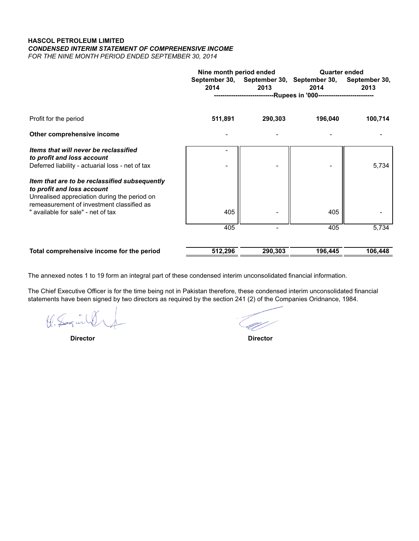# **HASCOL PETROLEUM LIMITED** *CONDENSED INTERIM STATEMENT OF COMPREHENSIVE INCOME FOR THE NINE MONTH PERIOD ENDED SEPTEMBER 30, 2014*

|                                                                                                                                                                          | Nine month period ended |         | <b>Quarter ended</b>                                                 |                       |  |
|--------------------------------------------------------------------------------------------------------------------------------------------------------------------------|-------------------------|---------|----------------------------------------------------------------------|-----------------------|--|
|                                                                                                                                                                          | 2014                    | 2013    | September 30, September 30, September 30,<br>2014                    | September 30,<br>2013 |  |
|                                                                                                                                                                          |                         |         | ----------------------------Rupees in '000-------------------------- |                       |  |
| Profit for the period                                                                                                                                                    | 511,891                 | 290,303 | 196,040                                                              | 100,714               |  |
| Other comprehensive income                                                                                                                                               |                         |         |                                                                      |                       |  |
| Items that will never be reclassified<br>to profit and loss account<br>Deferred liability - actuarial loss - net of tax                                                  |                         |         |                                                                      | 5,734                 |  |
| Item that are to be reclassified subsequently<br>to profit and loss account<br>Unrealised appreciation during the period on<br>remeasurement of investment classified as |                         |         |                                                                      |                       |  |
| " available for sale" - net of tax                                                                                                                                       | 405                     |         | 405                                                                  |                       |  |
|                                                                                                                                                                          | 405                     |         | 405                                                                  | 5,734                 |  |
| Total comprehensive income for the period                                                                                                                                | 512,296                 | 290,303 | 196,445                                                              | 106,448               |  |

The annexed notes 1 to 19 form an integral part of these condensed interim unconsolidated financial information.

The Chief Executive Officer is for the time being not in Pakistan therefore, these condensed interim unconsolidated financial statements have been signed by two directors as required by the section 241 (2) of the Companies Oridnance, 1984.

the Sagin

TT 30

 **Director Director**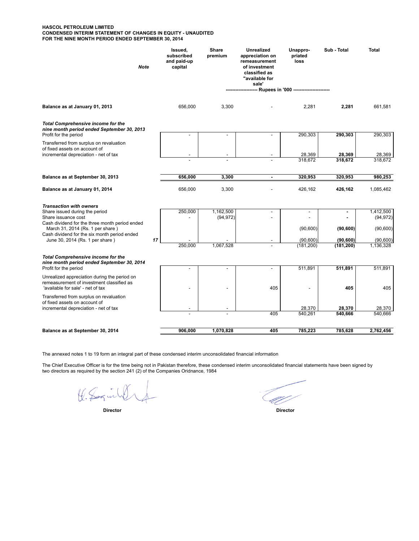#### **HASCOL PETROLEUM LIMITED CONDENSED INTERIM STATEMENT OF CHANGES IN EQUITY - UNAUDITED FOR THE NINE MONTH PERIOD ENDED SEPTEMBER 30, 2014**

| <b>Note</b>                                                                                                                        | Issued,<br>subscribed<br>and paid-up<br>capital | <b>Share</b><br>premium  | <b>Unrealized</b><br>appreciation on<br>remeasurement<br>of investment<br>classified as<br>"available for<br>sale' | Unappro-<br>priated<br>loss               | Sub - Total | <b>Total</b>           |
|------------------------------------------------------------------------------------------------------------------------------------|-------------------------------------------------|--------------------------|--------------------------------------------------------------------------------------------------------------------|-------------------------------------------|-------------|------------------------|
|                                                                                                                                    |                                                 |                          |                                                                                                                    | -- Rupees in '000 ----------------------- |             |                        |
| Balance as at January 01, 2013                                                                                                     | 656,000                                         | 3,300                    |                                                                                                                    | 2,281                                     | 2,281       | 661,581                |
| <b>Total Comprehensive income for the</b><br>nine month period ended September 30, 2013<br>Profit for the period                   |                                                 | ÷.                       |                                                                                                                    | 290,303                                   | 290,303     | 290,303                |
| Transferred from surplus on revaluation<br>of fixed assets on account of                                                           |                                                 |                          |                                                                                                                    |                                           |             |                        |
| incremental depreciation - net of tax                                                                                              |                                                 |                          |                                                                                                                    | 28,369                                    | 28,369      | 28,369                 |
|                                                                                                                                    |                                                 |                          |                                                                                                                    | 318,672                                   | 318,672     | 318,672                |
| Balance as at September 30, 2013                                                                                                   | 656,000                                         | 3,300                    | $\blacksquare$                                                                                                     | 320,953                                   | 320.953     | 980,253                |
| Balance as at January 01, 2014                                                                                                     | 656,000                                         | 3,300                    |                                                                                                                    | 426,162                                   | 426,162     | 1,085,462              |
| <b>Transaction with owners</b><br>Share issued during the period<br>Share issuance cost                                            | 250,000                                         | 1,162,500<br>(94, 972)   | $\blacksquare$                                                                                                     |                                           |             | 1,412,500<br>(94, 972) |
| Cash dividend for the three month period ended<br>March 31, 2014 (Rs. 1 per share)<br>Cash dividend for the six month period ended |                                                 |                          |                                                                                                                    | (90, 600)                                 | (90, 600)   | (90, 600)              |
| 17<br>June 30, 2014 (Rs. 1 per share)                                                                                              |                                                 |                          |                                                                                                                    | (90, 600)                                 | (90, 600)   | (90, 600)              |
| <b>Total Comprehensive income for the</b>                                                                                          | 250,000                                         | 1,067,528                |                                                                                                                    | (181, 200)                                | (181, 200)  | 1,136,328              |
| nine month period ended September 30, 2014<br>Profit for the period                                                                | $\overline{\phantom{a}}$                        | $\overline{\phantom{a}}$ | $\sim$                                                                                                             | 511,891                                   | 511,891     | 511,891                |
| Unrealized appreciation during the period on<br>remeasurement of investment classified as                                          |                                                 |                          |                                                                                                                    |                                           |             |                        |
| 'available for sale' - net of tax                                                                                                  |                                                 |                          | 405                                                                                                                |                                           | 405         | 405                    |
| Transferred from surplus on revaluation<br>of fixed assets on account of<br>incremental depreciation - net of tax                  |                                                 |                          |                                                                                                                    | 28,370                                    | 28,370      | 28,370                 |
|                                                                                                                                    |                                                 |                          | 405                                                                                                                | 540,261                                   | 540,666     | 540,666                |
|                                                                                                                                    |                                                 |                          |                                                                                                                    |                                           |             |                        |
| Balance as at September 30, 2014                                                                                                   | 906,000                                         | 1,070,828                | 405                                                                                                                | 785,223                                   | 785,628     | 2,762,456              |

The annexed notes 1 to 19 form an integral part of these condensed interim unconsolidated financial information

The Chief Executive Officer is for the time being not in Pakistan therefore, these condensed interim unconsolidated financial statements have been signed by two directors as required by the section 241 (2) of the Companies Oridnance, 1984

K. Loginle

U)<br>U

 **Director Director**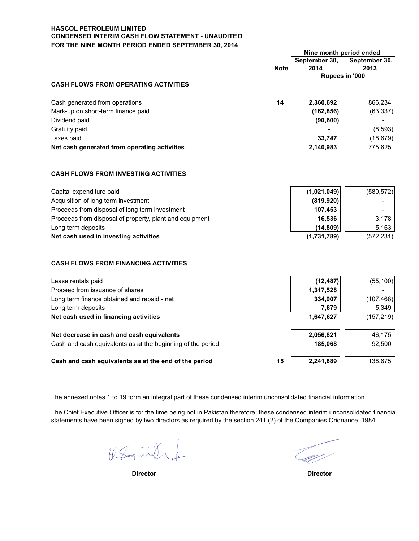# **HASCOL PETROLEUM LIMITED CONDENSED INTERIM CASH FLOW STATEMENT - UNAUDITE D FOR THE NINE MONTH PERIOD ENDED SEPTEMBER 30, 2014**

|                                                             |             | Nine month period ended |               |  |
|-------------------------------------------------------------|-------------|-------------------------|---------------|--|
|                                                             |             | September 30,           | September 30, |  |
|                                                             | <b>Note</b> | 2014                    | 2013          |  |
|                                                             |             | Rupees in '000          |               |  |
| <b>CASH FLOWS FROM OPERATING ACTIVITIES</b>                 |             |                         |               |  |
| Cash generated from operations                              | 14          | 2,360,692               | 866,234       |  |
| Mark-up on short-term finance paid                          |             | (162, 856)              | (63, 337)     |  |
| Dividend paid                                               |             | (90, 600)               |               |  |
| Gratuity paid                                               |             |                         | (8, 593)      |  |
| Taxes paid                                                  |             | 33,747                  | (18, 679)     |  |
| Net cash generated from operating activities                |             | 2,140,983               | 775,625       |  |
| <b>CASH FLOWS FROM INVESTING ACTIVITIES</b>                 |             |                         |               |  |
| Capital expenditure paid                                    |             | (1,021,049)             | (580, 572)    |  |
| Acquisition of long term investment                         |             | (819, 920)              |               |  |
| Proceeds from disposal of long term investment              |             | 107,453                 |               |  |
| Proceeds from disposal of property, plant and equipment     |             | 16,536                  | 3,178         |  |
| Long term deposits                                          |             | (14, 809)               | 5,163         |  |
| Net cash used in investing activities                       |             | (1,731,789)             | (572, 231)    |  |
| <b>CASH FLOWS FROM FINANCING ACTIVITIES</b>                 |             |                         |               |  |
| Lease rentals paid                                          |             | (12, 487)               | (55, 100)     |  |
| Proceed from issuance of shares                             |             | 1,317,528               |               |  |
| Long term finance obtained and repaid - net                 |             | 334,907                 | (107, 468)    |  |
| Long term deposits                                          |             | 7,679                   | 5,349         |  |
| Net cash used in financing activities                       |             | 1,647,627               | (157, 219)    |  |
| Net decrease in cash and cash equivalents                   |             | 2,056,821               | 46,175        |  |
| Cash and cash equivalents as at the beginning of the period |             | 185,068                 | 92,500        |  |
| Cash and cash equivalents as at the end of the period       | 15          | 2,241,889               | 138,675       |  |

The annexed notes 1 to 19 form an integral part of these condensed interim unconsolidated financial information.

The Chief Executive Officer is for the time being not in Pakistan therefore, these condensed interim unconsolidated financia statements have been signed by two directors as required by the section 241 (2) of the Companies Oridnance, 1984.

K. Saguilde

 **Director Director**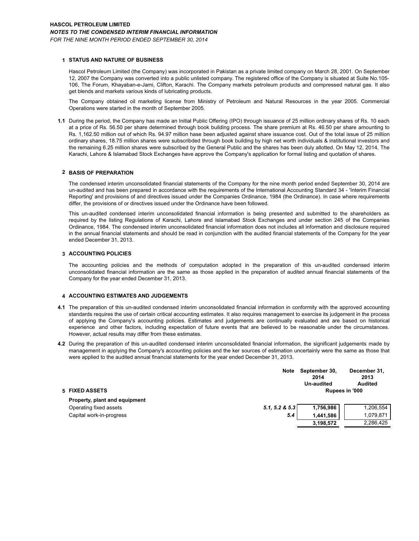### **1 STATUS AND NATURE OF BUSINESS**

Hascol Petroleum Limited (the Company) was incorporated in Pakistan as a private limited company on March 28, 2001. On September 12, 2007 the Company was converted into a public unlisted company. The registered office of the Company is situated at Suite No.105- 106, The Forum, Khayaban-e-Jami, Clifton, Karachi. The Company markets petroleum products and compressed natural gas. It also get blends and markets various kinds of lubricating products.

The Company obtained oil marketing license from Ministry of Petroleum and Natural Resources in the year 2005. Commercial Operations were started in the month of September 2005.

**1.1** During the period, the Company has made an Initial Public Offering (IPO) through issuance of 25 million ordinary shares of Rs. 10 each at a price of Rs. 56.50 per share determined through book building process. The share premium at Rs. 46.50 per share amounting to Rs. 1,162.50 million out of which Rs. 94.97 million hase been adjusted against share issuance cost. Out of the total issue of 25 million ordinary shares, 18.75 million shares were subscribded through book building by high net worth individuals & institutional investors and the remaining 6.25 million shares were subscribed by the General Public and the shares has been duly allotted. On May 12, 2014, The Karachi, Lahore & Islamabad Stock Exchanges have approve the Company's application for formal listing and quotation of shares.

### **2 BASIS OF PREPARATION**

The condensed interim unconsolidated financial statements of the Company for the nine month period ended September 30, 2014 are un-audited and has been prepared in accordance with the requirements of the International Accounting Standard 34 - 'Interim Financial Reporting' and provisions of and directives issued under the Companies Ordinance, 1984 (the Ordinance). In case where requirements differ, the provisions of or directives issued under the Ordinance have been followed.

This un-audited condensed interim unconsolidated financial information is being presented and submitted to the shareholders as required by the listing Regulations of Karachi, Lahore and Islamabad Stock Exchanges and under section 245 of the Companies Ordinance, 1984. The condensed interim unconsolidated financial information does not includes all information and disclosure required in the annual financial statements and should be read in conjunction with the audited financial statements of the Company for the year ended December 31, 2013.

### **3 ACCOUNTING POLICIES**

The accounting policies and the methods of computation adopted in the preparation of this un-audited condensed interim unconsolidated financial information are the same as those applied in the preparation of audited annual financial statements of the Company for the year ended December 31, 2013.

### **4 ACCOUNTING ESTIMATES AND JUDGEMENTS**

- **4.1** The preparation of this un-audited condensed interim unconsolidated financial information in conformity with the approved accounting standards requires the use of certain critical accounting estimates. It also requires management to exercise its judgement in the process of applying the Company's accounting policies. Estimates and judgements are continually evaluated and are based on historical experience and other factors, including expectation of future events that are believed to be reasonable under the circumstances. However, actual results may differ from these estimates.
- **4.2** During the preparation of this un-audited condensed interim unconsolidated financial information, the significant judgements made by management in applying the Company's accounting policies and the ker sources of estimation uncertainly were the same as those that were applied to the audited annual financial statements for the year ended December 31, 2013.

|                               | <b>Note</b>    | September 30,<br>2014<br>Un-audited | December 31.<br>2013<br><b>Audited</b> |
|-------------------------------|----------------|-------------------------------------|----------------------------------------|
| 5 FIXED ASSETS                |                |                                     | Rupees in '000                         |
| Property, plant and equipment |                |                                     |                                        |
| Operating fixed assets        | 5.1, 5.2 & 5.3 | 1,756,986                           | 1,206,554                              |
| Capital work-in-progress      | 5.4            | 1.441.586                           | 1.079.871                              |
|                               |                | 3,198,572                           | 2,286,425                              |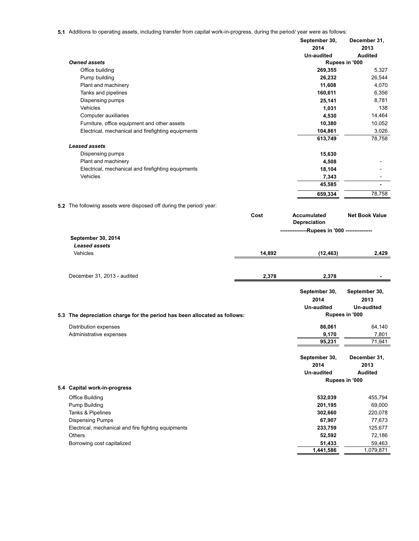**5.1** Additions to operating assets, including transfer from capital work-in-progress, during the period/ year were as follows:

|          | oporaing abouts, including transier nonroapital work in progress, admig the period/year were as lollows. |        | September 30,<br>2014<br>Un-audited     | December 31,<br>2013<br><b>Audited</b> |
|----------|----------------------------------------------------------------------------------------------------------|--------|-----------------------------------------|----------------------------------------|
|          | <b>Owned assets</b>                                                                                      |        |                                         | Rupees in '000                         |
|          | Office building                                                                                          |        | 269,355                                 | 5,327                                  |
|          | Pump building                                                                                            |        | 26,232                                  | 26,544                                 |
|          | Plant and machinery                                                                                      |        | 11,608                                  | 4,070                                  |
|          | Tanks and pipelines                                                                                      |        | 160,611                                 | 6,356                                  |
|          | Dispensing pumps                                                                                         |        | 25,141                                  | 8,781                                  |
|          | Vehicles                                                                                                 |        | 1,031                                   | 138                                    |
|          | Computer auxiliaries                                                                                     |        | 4,530                                   | 14,464                                 |
|          | Furniture, office equipment and other assets                                                             |        | 10,380                                  | 10,052                                 |
|          | Electrical, mechanical and firefighting equipments                                                       |        | 104,861                                 | 3,026                                  |
|          |                                                                                                          |        | 613,749                                 | 78,758                                 |
|          | <b>Leased assets</b><br>Dispensing pumps                                                                 |        | 15,630                                  |                                        |
|          | Plant and machinery                                                                                      |        | 4,508                                   |                                        |
|          | Electrical, mechanical and firefighting equipments                                                       |        | 18,104                                  |                                        |
|          | Vehicles                                                                                                 |        | 7,343                                   |                                        |
|          |                                                                                                          |        | 45,585                                  |                                        |
|          |                                                                                                          |        | 659,334                                 | 78,758                                 |
|          | 5.2 The following assets were disposed off during the period/ year:                                      |        |                                         |                                        |
|          |                                                                                                          | Cost   | <b>Accumulated</b><br>Depreciation      | <b>Net Book Value</b>                  |
|          |                                                                                                          |        | ---------Rupees in '000 --------------- |                                        |
|          | September 30, 2014                                                                                       |        |                                         |                                        |
|          | <b>Leased assets</b>                                                                                     |        |                                         |                                        |
| Vehicles |                                                                                                          | 14,892 | (12, 463)                               | 2,429                                  |
|          | December 31, 2013 - audited                                                                              | 2,378  | 2,378                                   |                                        |
|          |                                                                                                          |        | September 30,                           | September 30,                          |
|          |                                                                                                          |        | 2014                                    | 2013                                   |
|          |                                                                                                          |        | Un-audited                              | <b>Un-audited</b>                      |
|          | 5.3 The depreciation charge for the period has been allocated as follows:                                |        |                                         | Rupees in '000                         |
|          | Distribution expenses                                                                                    |        | 86,061                                  | 64,140                                 |
|          | Administrative expenses                                                                                  |        | 9,170                                   | 7,801                                  |
|          |                                                                                                          |        | 95,231                                  | 71,941                                 |
|          |                                                                                                          |        | September 30,                           | December 31,                           |
|          |                                                                                                          |        | 2014                                    | 2013                                   |
|          |                                                                                                          |        | <b>Un-audited</b>                       | <b>Audited</b>                         |
|          | 5.4 Capital work-in-progress                                                                             |        |                                         | Rupees in '000                         |
|          | <b>Office Building</b>                                                                                   |        | 532,039                                 | 455,794                                |
|          | Pump Building                                                                                            |        | 201,195                                 | 69,000                                 |
|          | Tanks & Pipelines                                                                                        |        | 302,660                                 | 220,078                                |
|          | <b>Dispensing Pumps</b>                                                                                  |        | 67,907                                  | 77,673                                 |
|          | Electrical, mechanical and fire fighting equipments                                                      |        | 233,759                                 | 125,677                                |
| Others   |                                                                                                          |        | 52,592                                  | 72,186                                 |
|          | Borrowing cost capitalized                                                                               |        | 51,433                                  | 59,463                                 |
|          |                                                                                                          |        | 1,441,586                               | 1,079,871                              |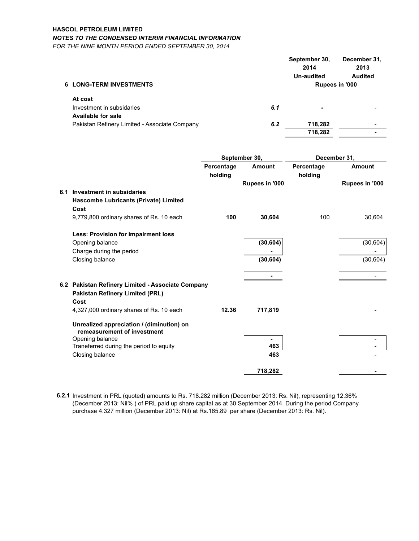# **HASCOL PETROLEUM LIMITED**

# *NOTES TO THE CONDENSED INTERIM FINANCIAL INFORMATION*

*FOR THE NINE MONTH PERIOD ENDED SEPTEMBER 30, 2014*

|                                               |     | September 30,<br>2014<br>Un-audited | December 31,<br>2013<br><b>Audited</b> |
|-----------------------------------------------|-----|-------------------------------------|----------------------------------------|
| <b>6 LONG-TERM INVESTMENTS</b>                |     |                                     | Rupees in '000                         |
| At cost                                       |     |                                     |                                        |
| Investment in subsidaries                     | 6.1 | ۰                                   |                                        |
| <b>Available for sale</b>                     |     |                                     |                                        |
| Pakistan Refinery Limited - Associate Company | 6.2 | 718,282                             |                                        |
|                                               |     | 718,282                             |                                        |

|     |                                                                          |                       | September 30,  | December 31,          |                |  |
|-----|--------------------------------------------------------------------------|-----------------------|----------------|-----------------------|----------------|--|
|     |                                                                          | Percentage<br>holding | Amount         | Percentage<br>holding | <b>Amount</b>  |  |
|     |                                                                          |                       | Rupees in '000 |                       | Rupees in '000 |  |
| 6.1 | Investment in subsidaries                                                |                       |                |                       |                |  |
|     | Hascombe Lubricants (Private) Limited                                    |                       |                |                       |                |  |
|     | Cost                                                                     |                       |                |                       |                |  |
|     | 9,779,800 ordinary shares of Rs. 10 each                                 | 100                   | 30,604         | 100                   | 30,604         |  |
|     | <b>Less: Provision for impairment loss</b>                               |                       |                |                       |                |  |
|     | Opening balance                                                          |                       | (30, 604)      |                       | (30, 604)      |  |
|     | Charge during the period                                                 |                       |                |                       |                |  |
|     | Closing balance                                                          |                       | (30, 604)      |                       | (30, 604)      |  |
|     |                                                                          |                       |                |                       |                |  |
|     | 6.2 Pakistan Refinery Limited - Associate Company                        |                       |                |                       |                |  |
|     | <b>Pakistan Refinery Limited (PRL)</b>                                   |                       |                |                       |                |  |
|     | Cost                                                                     |                       |                |                       |                |  |
|     | 4,327,000 ordinary shares of Rs. 10 each                                 | 12.36                 | 717,819        |                       |                |  |
|     | Unrealized appreciation / (diminution) on<br>remeasurement of investment |                       |                |                       |                |  |
|     | Opening balance                                                          |                       |                |                       |                |  |
|     | Traneferred during the period to equity                                  |                       | 463            |                       |                |  |
|     | Closing balance                                                          |                       | 463            |                       |                |  |
|     |                                                                          |                       | 718,282        |                       |                |  |

**6.2.1** Investment in PRL (quoted) amounts to Rs. 718.282 million (December 2013: Rs. Nil), representing 12.36% (December 2013: Nil% ) of PRL paid up share capital as at 30 September 2014. During the period Company purchase 4.327 million (December 2013: Nil) at Rs.165.89 per share (December 2013: Rs. Nil).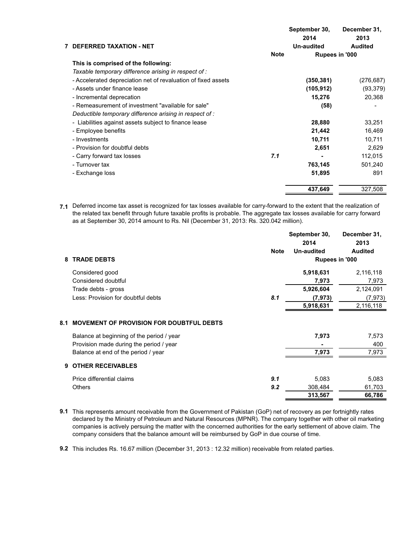|                                                               |             | September 30,<br>2014 | December 31,<br>2013 |
|---------------------------------------------------------------|-------------|-----------------------|----------------------|
| 7 DEFERRED TAXATION - NET                                     |             | <b>Un-audited</b>     | <b>Audited</b>       |
|                                                               | <b>Note</b> | Rupees in '000        |                      |
| This is comprised of the following:                           |             |                       |                      |
| Taxable temporary difference arising in respect of :          |             |                       |                      |
| - Accelerated depreciation net of revaluation of fixed assets |             | (350, 381)            | (276, 687)           |
| - Assets under finance lease                                  |             | (105, 912)            | (93, 379)            |
| - Incremental deprecation                                     |             | 15,276                | 20,368               |
| - Remeasurement of investment "available for sale"            |             | (58)                  |                      |
| Deductible temporary difference arising in respect of :       |             |                       |                      |
| - Liabilities against assets subject to finance lease         |             | 28,880                | 33,251               |
| - Employee benefits                                           |             | 21,442                | 16,469               |
| - Investments                                                 |             | 10,711                | 10,711               |
| - Provision for doubtful debts                                |             | 2,651                 | 2,629                |
| - Carry forward tax losses                                    | 7.1         |                       | 112,015              |
| - Turnover tax                                                |             | 763,145               | 501,240              |
| - Exchange loss                                               |             | 51,895                | 891                  |
|                                                               |             | 437,649               | 327,508              |

**7.1** Deferred income tax asset is recognized for tax losses available for carry-forward to the extent that the realization of the related tax benefit through future taxable profits is probable. The aggregate tax losses available for carry forward as at September 30, 2014 amount to Rs. Nil (December 31, 2013: Rs. 320.042 million).

|     |                                                 | <b>Note</b> | September 30,<br>2014<br><b>Un-audited</b> | December 31,<br>2013<br><b>Audited</b> |
|-----|-------------------------------------------------|-------------|--------------------------------------------|----------------------------------------|
| 8   | <b>TRADE DEBTS</b>                              |             | Rupees in '000                             |                                        |
|     | Considered good                                 |             | 5,918,631                                  | 2,116,118                              |
|     | Considered doubtful                             |             | 7,973                                      | 7,973                                  |
|     | Trade debts - gross                             |             | 5,926,604                                  | 2,124,091                              |
|     | Less: Provision for doubtful debts              | 8.1         | (7, 973)                                   | (7, 973)                               |
|     |                                                 |             | 5,918,631                                  | 2,116,118                              |
| 8.1 | <b>MOVEMENT OF PROVISION FOR DOUBTFUL DEBTS</b> |             |                                            |                                        |
|     | Balance at beginning of the period / year       |             | 7,973                                      | 7,573                                  |
|     | Provision made during the period / year         |             |                                            | 400                                    |
|     | Balance at end of the period / year             |             | 7,973                                      | 7,973                                  |
| 9   | <b>OTHER RECEIVABLES</b>                        |             |                                            |                                        |
|     | Price differential claims                       | 9.1         | 5,083                                      | 5,083                                  |
|     | <b>Others</b>                                   | 9.2         | 308,484                                    | 61,703                                 |
|     |                                                 |             | 313,567                                    | 66,786                                 |

**9.1**  This represents amount receivable from the Government of Pakistan (GoP) net of recovery as per fortnightly rates declared by the Ministry of Petroleum and Natural Resources (MPNR). The company together with other oil marketing companies is actively persuing the matter with the concerned authorities for the early settlement of above claim. The company considers that the balance amount will be reimbursed by GoP in due course of time.

**9.2**  This includes Rs. 16.67 million (December 31, 2013 : 12.32 million) receivable from related parties.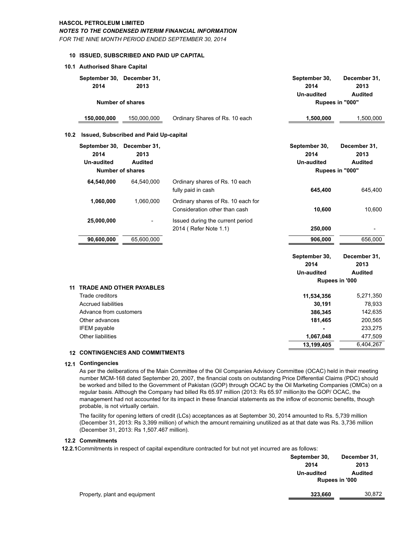### **HASCOL PETROLEUM LIMITED**

### *NOTES TO THE CONDENSED INTERIM FINANCIAL INFORMATION*

*FOR THE NINE MONTH PERIOD ENDED SEPTEMBER 30, 2014*

### **10 ISSUED, SUBSCRIBED AND PAID UP CAPITAL**

### **10.1 Authorised Share Capital**

| September 30, December 31,<br>2014                                                                                                                        | 2013                                              |                                                                     | September 30,<br>2014<br><b>Un-audited</b>              | December 31,<br>2013<br><b>Audited</b>                          |
|-----------------------------------------------------------------------------------------------------------------------------------------------------------|---------------------------------------------------|---------------------------------------------------------------------|---------------------------------------------------------|-----------------------------------------------------------------|
| <b>Number of shares</b>                                                                                                                                   |                                                   |                                                                     |                                                         | Rupees in "000"                                                 |
| 150,000,000                                                                                                                                               | 150,000,000                                       | Ordinary Shares of Rs. 10 each                                      | 1,500,000                                               | 1,500,000                                                       |
| 10.2                                                                                                                                                      | Issued, Subscribed and Paid Up-capital            |                                                                     |                                                         |                                                                 |
| September 30, December 31,<br>2014<br><b>Un-audited</b>                                                                                                   | 2013<br><b>Audited</b><br><b>Number of shares</b> |                                                                     | September 30,<br>2014<br><b>Un-audited</b>              | December 31,<br>2013<br><b>Audited</b><br>Rupees in "000"       |
| 64,540,000                                                                                                                                                | 64,540,000                                        | Ordinary shares of Rs. 10 each<br>fully paid in cash                | 645,400                                                 | 645,400                                                         |
| 1,060,000                                                                                                                                                 | 1,060,000                                         | Ordinary shares of Rs. 10 each for<br>Consideration other than cash | 10,600                                                  | 10,600                                                          |
| 25,000,000                                                                                                                                                |                                                   | Issued during the current period<br>2014 (Refer Note 1.1)           | 250,000                                                 |                                                                 |
| 90,600,000                                                                                                                                                | 65,600,000                                        |                                                                     | 906,000                                                 | 656,000                                                         |
|                                                                                                                                                           |                                                   |                                                                     | September 30,<br>2014<br><b>Un-audited</b>              | December 31,<br>2013<br><b>Audited</b>                          |
|                                                                                                                                                           |                                                   |                                                                     |                                                         | Rupees in '000                                                  |
| 11<br><b>Trade creditors</b><br><b>Accrued liabilities</b><br>Advance from customers<br>Other advances<br><b>IFEM</b> payable<br><b>Other liabilities</b> | <b>TRADE AND OTHER PAYABLES</b>                   |                                                                     | 11,534,356<br>30,191<br>386,345<br>181,465<br>1,067,048 | 5,271,350<br>78,933<br>142,635<br>200,565<br>233,275<br>477,509 |
| <b>12 CONTINGENCIES AND COMMITMENTS</b>                                                                                                                   |                                                   |                                                                     | 13,199,405                                              | 6,404,267                                                       |

### **12.1 Contingencies**

As per the deliberations of the Main Committee of the Oil Companies Advisory Committee (OCAC) held in their meeting number MCM-168 dated September 20, 2007, the financial costs on outstanding Price Differential Claims (PDC) should be worked and billed to the Government of Pakistan (GOP) through OCAC by the Oil Marketing Companies (OMCs) on a regular basis. Although the Company had billed Rs 65.97 million (2013: Rs 65.97 million)to the GOP/ OCAC, the management had not accounted for its impact in these financial statements as the inflow of economic benefits, though probable, is not virtually certain.

The facility for opening letters of credit (LCs) acceptances as at September 30, 2014 amounted to Rs. 5,739 million (December 31, 2013: Rs 3,399 million) of which the amount remaining unutilized as at that date was Rs. 3,736 million (December 31, 2013: Rs 1,507.467 million).

# **12.2 Commitments**

**12.2.1**Commitments in respect of capital expenditure contracted for but not yet incurred are as follows:

|                               | September 30, | December 31,          |  |
|-------------------------------|---------------|-----------------------|--|
|                               | 2014          | 2013                  |  |
|                               | Un-audited    | <b>Audited</b>        |  |
|                               |               | <b>Rupees in '000</b> |  |
| Property, plant and equipment | 323,660       | 30,872                |  |
|                               |               |                       |  |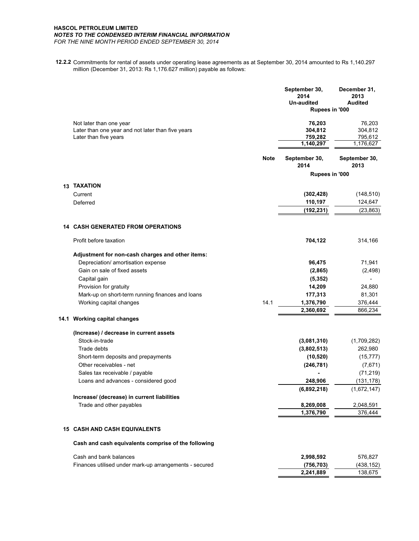### **HASCOL PETROLEUM LIMITED** *NOTES TO THE CONDENSED INTERIM FINANCIAL INFORMATION FOR THE NINE MONTH PERIOD ENDED SEPTEMBER 30, 2014*

**12.2.2** Commitments for rental of assets under operating lease agreements as at September 30, 2014 amounted to Rs 1,140.297 million (December 31, 2013: Rs 1,176.627 million) payable as follows:

|                 |                                                                            |             | September 30,<br>2014<br><b>Un-audited</b><br>Rupees in '000 | December 31,<br>2013<br><b>Audited</b> |
|-----------------|----------------------------------------------------------------------------|-------------|--------------------------------------------------------------|----------------------------------------|
|                 | Not later than one year                                                    |             | 76,203                                                       | 76,203                                 |
|                 | Later than one year and not later than five years<br>Later than five years |             | 304,812<br>759,282                                           | 304,812<br>795,612                     |
|                 |                                                                            |             | 1,140,297                                                    | 1,176,627                              |
|                 |                                                                            | <b>Note</b> | September 30,<br>2014                                        | September 30,<br>2013                  |
|                 |                                                                            |             | Rupees in '000                                               |                                        |
| 13 <sup>1</sup> | <b>TAXATION</b>                                                            |             |                                                              |                                        |
|                 | Current                                                                    |             | (302, 428)                                                   | (148, 510)                             |
|                 | Deferred                                                                   |             | 110,197                                                      | 124,647                                |
|                 |                                                                            |             | (192, 231)                                                   | (23, 863)                              |
|                 | <b>14 CASH GENERATED FROM OPERATIONS</b>                                   |             |                                                              |                                        |
|                 | Profit before taxation                                                     |             | 704,122                                                      | 314,166                                |
|                 | Adjustment for non-cash charges and other items:                           |             |                                                              |                                        |
|                 | Depreciation/ amortisation expense                                         |             | 96,475                                                       | 71,941                                 |
|                 | Gain on sale of fixed assets                                               |             | (2,865)                                                      | (2, 498)                               |
|                 | Capital gain                                                               |             | (5, 352)                                                     |                                        |
|                 | Provision for gratuity                                                     |             | 14,209                                                       | 24,880                                 |
|                 | Mark-up on short-term running finances and loans                           |             | 177,313                                                      | 81,301                                 |
|                 | Working capital changes                                                    | 14.1        | 1,376,790                                                    | 376,444                                |
|                 |                                                                            |             | 2,360,692                                                    | 866,234                                |
|                 | 14.1 Working capital changes                                               |             |                                                              |                                        |
|                 | (Increase) / decrease in current assets                                    |             |                                                              |                                        |
|                 | Stock-in-trade                                                             |             | (3,081,310)                                                  | (1,709,282)                            |
|                 | Trade debts                                                                |             | (3,802,513)                                                  | 262,980                                |
|                 | Short-term deposits and prepayments                                        |             | (10, 520)                                                    | (15, 777)                              |
|                 | Other receivables - net                                                    |             | (246, 781)                                                   | (7,671)                                |
|                 | Sales tax receivable / payable                                             |             |                                                              | (71, 219)                              |
|                 | Loans and advances - considered good                                       |             | 248,906                                                      | (131, 178)                             |
|                 |                                                                            |             | (6,892,218)                                                  | (1,672,147)                            |
|                 | Increase/ (decrease) in current liabilities<br>Trade and other payables    |             | 8,269,008                                                    | 2,048,591                              |
|                 |                                                                            |             | 1,376,790                                                    | 376,444                                |
|                 | <b>15 CASH AND CASH EQUIVALENTS</b>                                        |             |                                                              |                                        |
|                 | Cash and cash equivalents comprise of the following                        |             |                                                              |                                        |
|                 |                                                                            |             |                                                              |                                        |
|                 | Cash and bank balances                                                     |             | 2,998,592                                                    | 576,827                                |
|                 | Finances utilised under mark-up arrangements - secured                     |             | (756, 703)                                                   | (438, 152)                             |
|                 |                                                                            |             | 2,241,889                                                    | 138,675                                |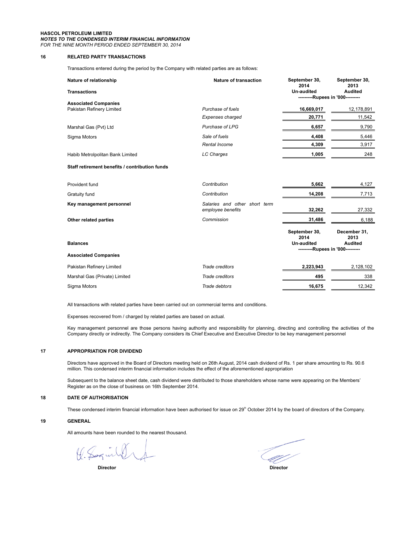#### **HASCOL PETROLEUM LIMITED** *NOTES TO THE CONDENSED INTERIM FINANCIAL INFORMATION FOR THE NINE MONTH PERIOD ENDED SEPTEMBER 30, 2014*

### **16 RELATED PARTY TRANSACTIONS**

Transactions entered during the period by the Company with related parties are as follows:

| Nature of relationship                         | <b>Nature of transaction</b>                       | September 30,<br>2014                                                   | September 30,<br>2013                  |
|------------------------------------------------|----------------------------------------------------|-------------------------------------------------------------------------|----------------------------------------|
| <b>Transactions</b>                            |                                                    | Un-audited<br>---------Rupees in '000---------                          | <b>Audited</b>                         |
| <b>Associated Companies</b>                    |                                                    |                                                                         |                                        |
| Pakistan Refinery Limited                      | Purchase of fuels                                  | 16,669,017                                                              | 12,178,891                             |
|                                                | Expenses charged                                   | 20,771                                                                  | 11,542                                 |
| Marshal Gas (Pvt) Ltd                          | Purchase of LPG                                    | 6,657                                                                   | 9,790                                  |
| Sigma Motors                                   | Sale of fuels                                      | 4,408                                                                   | 5,446                                  |
|                                                | <b>Rental Income</b>                               | 4,309                                                                   | 3,917                                  |
| Habib Metrolpolitan Bank Limited               | <b>LC Charges</b>                                  | 1,005                                                                   | 248                                    |
| Staff retirement benefits / contribution funds |                                                    |                                                                         |                                        |
| Provident fund                                 | Contribution                                       | 5,662                                                                   | 4,127                                  |
| Gratuity fund                                  | Contribution                                       | 14,208                                                                  | 7,713                                  |
| Key management personnel                       | Salaries and other short term<br>employee benefits | 32,262                                                                  | 27,332                                 |
| Other related parties                          | Commission                                         | 31,486                                                                  | 6,188                                  |
| <b>Balances</b>                                |                                                    | September 30,<br>2014<br>Un-audited<br>---------Rupees in '000--------- | December 31,<br>2013<br><b>Audited</b> |
| <b>Associated Companies</b>                    |                                                    |                                                                         |                                        |
| Pakistan Refinery Limited                      | Trade creditors                                    | 2,223,943                                                               | 2,128,102                              |
| Marshal Gas (Private) Limited                  | Trade creditors                                    | 495                                                                     | 338                                    |
| Sigma Motors                                   | Trade debtors                                      | 16.675                                                                  | 12.342                                 |

All transactions with related parties have been carried out on commercial terms and conditions.

Expenses recovered from / charged by related parties are based on actual.

Key management personnel are those persons having authority and responsibility for planning, directing and controlling the activities of the Company directly or indirectly. The Company considers its Chief Executive and Executive Director to be key management personnel

### **17 APPROPRIATION FOR DIVIDEND**

Directors have approved in the Board of Directors meeting held on 26th August, 2014 cash dividend of Rs. 1 per share amounting to Rs. 90.6 million. This condensed interim financial information includes the effect of the aforementioned appropriation

Subsequent to the balance sheet date, cash dividend were distributed to those shareholders whose name were appearing on the Members' Register as on the close of business on 16th September 2014.

### **18 DATE OF AUTHORISATION**

These condensed interim financial information have been authorised for issue on 29<sup>th</sup> October 2014 by the board of directors of the Company.

**19 GENERAL**

All amounts have been rounded to the nearest thousand.

K. Saguilly

 **Director Director**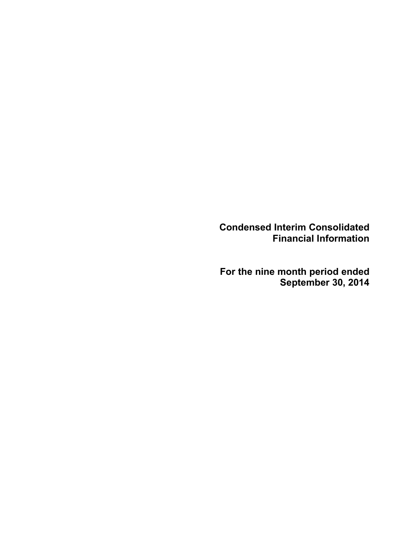Condensed Interim Consolidated Financial Information

For the nine month period ended September 30, 2014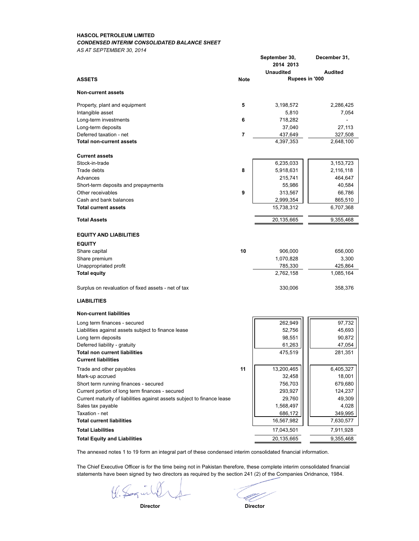### **HASCOL PETROLEUM LIMITED** *CONDENSED INTERIM CONSOLIDATED BALANCE SHEET*

*AS AT SEPTEMBER 30, 2014*

|                                                                         |                | September 30,<br>2014 2013 | December 31,   |
|-------------------------------------------------------------------------|----------------|----------------------------|----------------|
|                                                                         |                | <b>Unaudited</b>           | <b>Audited</b> |
| <b>ASSETS</b>                                                           | <b>Note</b>    | Rupees in '000             |                |
| <b>Non-current assets</b>                                               |                |                            |                |
| Property, plant and equipment                                           | 5              | 3,198,572                  | 2,286,425      |
| Intangible asset                                                        |                | 5,810                      | 7,054          |
| Long-term investments                                                   | 6              | 718,282                    |                |
| Long-term deposits                                                      |                | 37,040                     | 27,113         |
| Deferred taxation - net                                                 | $\overline{7}$ | 437,649                    | 327,508        |
| <b>Total non-current assets</b>                                         |                | 4,397,353                  | 2,648,100      |
| <b>Current assets</b>                                                   |                |                            |                |
| Stock-in-trade                                                          |                | 6,235,033                  | 3,153,723      |
| Trade debts                                                             | 8              | 5,918,631                  | 2,116,118      |
| Advances                                                                |                | 215,741                    | 464,647        |
| Short-term deposits and prepayments                                     |                | 55,986                     | 40,584         |
| Other receivables                                                       | 9              | 313,567                    | 66,786         |
| Cash and bank balances                                                  |                | 2,999,354                  | 865,510        |
| <b>Total current assets</b>                                             |                | 15,738,312                 | 6,707,368      |
| <b>Total Assets</b>                                                     |                | 20,135,665                 | 9,355,468      |
| <b>EQUITY AND LIABILITIES</b>                                           |                |                            |                |
| <b>EQUITY</b>                                                           |                |                            |                |
| Share capital                                                           | 10             | 906,000                    | 656,000        |
| Share premium                                                           |                | 1,070,828                  | 3,300          |
| Unappropriated profit                                                   |                | 785,330                    | 425,864        |
| <b>Total equity</b>                                                     |                | 2,762,158                  | 1,085,164      |
| Surplus on revaluation of fixed assets - net of tax                     |                | 330,006                    | 358,376        |
| <b>LIABILITIES</b>                                                      |                |                            |                |
| <b>Non-current liabilities</b>                                          |                |                            |                |
| Long term finances - secured                                            |                | 262,949                    | 97,732         |
| Liabilities against assets subject to finance lease                     |                | 52,756                     | 45,693         |
| Long term deposits                                                      |                | 98,551                     | 90,872         |
| Deferred liability - gratuity                                           |                | 61,263                     | 47,054         |
| <b>Total non current liabilities</b>                                    |                | 475,519                    | 281,351        |
| <b>Current liabilities</b>                                              |                |                            |                |
| Trade and other payables                                                | 11             | 13,200,465                 | 6,405,327      |
| Mark-up accrued                                                         |                | 32,458                     | 18,001         |
| Short term running finances - secured                                   |                | 756,703                    | 679,680        |
| Current portion of long term finances - secured                         |                | 293,927                    | 124,237        |
| Current maturity of liabilities against assets subject to finance lease |                | 29,760                     | 49,309         |
| Sales tax payable                                                       |                | 1,568,497                  | 4,028          |
| Taxation - net                                                          |                | 686,172                    | 349,995        |
| <b>Total current liabilities</b>                                        |                | 16,567,982                 | 7,630,577      |
| <b>Total Liabilities</b>                                                |                | 17,043,501                 | 7,911,928      |
| <b>Total Equity and Liabilities</b>                                     |                | 20,135,665                 | 9,355,468      |

The annexed notes 1 to 19 form an integral part of these condensed interim consolidated financial information.

The Chief Executive Officer is for the time being not in Pakistan therefore, these complete interim consolidated financial statements have been signed by two directors as required by the section 241 (2) of the Companies Oridnance, 1984.

the Saginh

 **Director Director**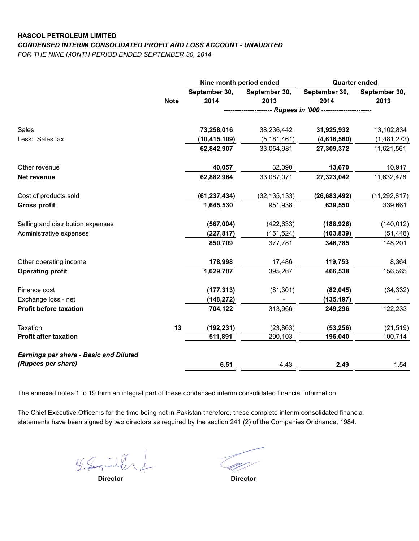# **HASCOL PETROLEUM LIMITED** *CONDENSED INTERIM CONSOLIDATED PROFIT AND LOSS ACCOUNT - UNAUDITED*

*FOR THE NINE MONTH PERIOD ENDED SEPTEMBER 30, 2014*

|                                               |             | Nine month period ended |                                                          | <b>Quarter ended</b> |                |
|-----------------------------------------------|-------------|-------------------------|----------------------------------------------------------|----------------------|----------------|
|                                               |             | September 30,           | September 30,                                            | September 30,        | September 30,  |
|                                               | <b>Note</b> | 2014                    | 2013                                                     | 2014                 | 2013           |
|                                               |             |                         | --------------------- Rupees in '000 ------------------- |                      |                |
| Sales                                         |             | 73,258,016              | 38,236,442                                               | 31,925,932           | 13,102,834     |
| Less: Sales tax                               |             | (10, 415, 109)          | (5, 181, 461)                                            | (4,616,560)          | (1,481,273)    |
|                                               |             | 62,842,907              | 33,054,981                                               | 27,309,372           | 11,621,561     |
| Other revenue                                 |             | 40,057                  | 32,090                                                   | 13,670               | 10,917         |
| Net revenue                                   |             | 62,882,964              | 33,087,071                                               | 27,323,042           | 11,632,478     |
| Cost of products sold                         |             | (61, 237, 434)          | (32, 135, 133)                                           | (26, 683, 492)       | (11, 292, 817) |
| <b>Gross profit</b>                           |             | 1,645,530               | 951,938                                                  | 639,550              | 339,661        |
| Selling and distribution expenses             |             | (567,004)               | (422, 633)                                               | (188, 926)           | (140, 012)     |
| Administrative expenses                       |             | (227, 817)              | (151, 524)                                               | (103, 839)           | (51, 448)      |
|                                               |             | 850,709                 | 377,781                                                  | 346,785              | 148,201        |
| Other operating income                        |             | 178,998                 | 17,486                                                   | 119,753              | 8,364          |
| <b>Operating profit</b>                       |             | 1,029,707               | 395,267                                                  | 466,538              | 156,565        |
| Finance cost                                  |             | (177, 313)              | (81, 301)                                                | (82, 045)            | (34, 332)      |
| Exchange loss - net                           |             | (148, 272)              |                                                          | (135, 197)           |                |
| <b>Profit before taxation</b>                 |             | 704,122                 | 313,966                                                  | 249,296              | 122,233        |
| Taxation                                      | 13          | (192, 231)              | (23, 863)                                                | (53, 256)            | (21, 519)      |
| <b>Profit after taxation</b>                  |             | 511,891                 | 290,103                                                  | 196,040              | 100,714        |
| <b>Earnings per share - Basic and Diluted</b> |             |                         |                                                          |                      |                |
| (Rupees per share)                            |             | 6.51                    | 4.43                                                     | 2.49                 | 1.54           |

The annexed notes 1 to 19 form an integral part of these condensed interim consolidated financial information.

The Chief Executive Officer is for the time being not in Pakistan therefore, these complete interim consolidated financial statements have been signed by two directors as required by the section 241 (2) of the Companies Oridnance, 1984.

K. Saguille

 **Director Director**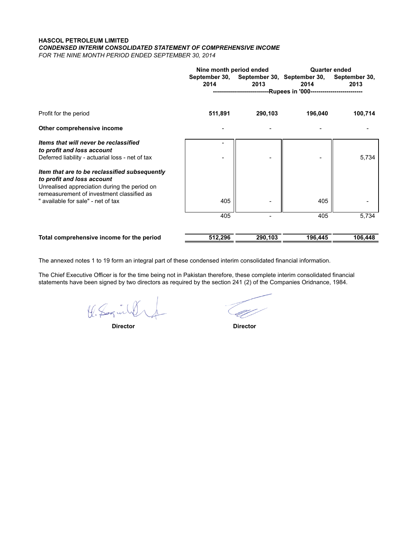# **HASCOL PETROLEUM LIMITED** *CONDENSED INTERIM CONSOLIDATED STATEMENT OF COMPREHENSIVE INCOME*

*FOR THE NINE MONTH PERIOD ENDED SEPTEMBER 30, 2014*

|                                                                                                                                                                          | Nine month period ended |         | <b>Quarter ended</b>                                               |                       |  |
|--------------------------------------------------------------------------------------------------------------------------------------------------------------------------|-------------------------|---------|--------------------------------------------------------------------|-----------------------|--|
|                                                                                                                                                                          | 2014                    | 2013    | September 30, September 30, September 30,<br>2014                  | September 30,<br>2013 |  |
|                                                                                                                                                                          |                         |         | --------------------------Rupees in '000-------------------------- |                       |  |
| Profit for the period                                                                                                                                                    | 511,891                 | 290,103 | 196,040                                                            | 100,714               |  |
| Other comprehensive income                                                                                                                                               |                         |         |                                                                    |                       |  |
| Items that will never be reclassified<br>to profit and loss account<br>Deferred liability - actuarial loss - net of tax                                                  |                         |         |                                                                    | 5,734                 |  |
| Item that are to be reclassified subsequently<br>to profit and loss account<br>Unrealised appreciation during the period on<br>remeasurement of investment classified as |                         |         |                                                                    |                       |  |
| " available for sale" - net of tax                                                                                                                                       | 405                     |         | 405                                                                |                       |  |
|                                                                                                                                                                          | 405                     |         | 405                                                                | 5,734                 |  |
| Total comprehensive income for the period                                                                                                                                | 512,296                 | 290,103 | 196,445                                                            | 106,448               |  |

The annexed notes 1 to 19 form an integral part of these condensed interim consolidated financial information.

The Chief Executive Officer is for the time being not in Pakistan therefore, these complete interim consolidated financial statements have been signed by two directors as required by the section 241 (2) of the Companies Oridnance, 1984.

K. Saginhof

 **Director Director**

UT.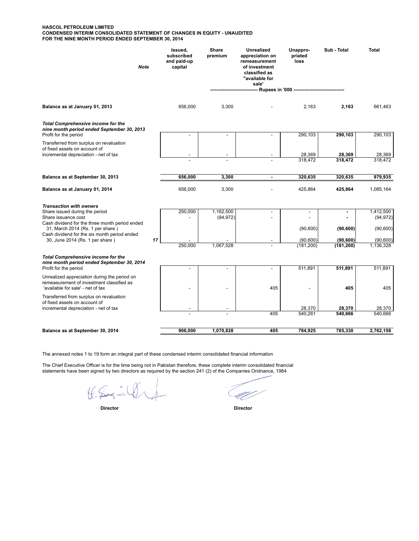#### **HASCOL PETROLEUM LIMITED CONDENSED INTERIM CONSOLIDATED STATEMENT OF CHANGES IN EQUITY - UNAUDITED FOR THE NINE MONTH PERIOD ENDED SEPTEMBER 30, 2014**

| <b>Note</b>                                                                                                                    | Issued,<br>subscribed<br>and paid-up<br>capital | <b>Share</b><br>premium | <b>Unrealized</b><br>appreciation on<br>remeasurement<br>of investment<br>classified as<br>"available for<br>sale' | Unappro-<br>priated<br>loss                      | Sub - Total           | <b>Total</b>         |
|--------------------------------------------------------------------------------------------------------------------------------|-------------------------------------------------|-------------------------|--------------------------------------------------------------------------------------------------------------------|--------------------------------------------------|-----------------------|----------------------|
|                                                                                                                                |                                                 |                         |                                                                                                                    | - Rupees in '000 ------------------------------- |                       |                      |
| Balance as at January 01, 2013                                                                                                 | 656,000                                         | 3,300                   |                                                                                                                    | 2,163                                            | 2,163                 | 661,463              |
| <b>Total Comprehensive income for the</b><br>nine month period ended September 30, 2013<br>Profit for the period               |                                                 |                         |                                                                                                                    | 290,103                                          | 290,103               | 290,103              |
| Transferred from surplus on revaluation<br>of fixed assets on account of                                                       |                                                 |                         |                                                                                                                    |                                                  |                       |                      |
| incremental depreciation - net of tax                                                                                          |                                                 |                         |                                                                                                                    | 28,369                                           | 28,369                | 28,369               |
|                                                                                                                                |                                                 |                         |                                                                                                                    | 318,472                                          | 318,472               | 318,472              |
| Balance as at September 30, 2013                                                                                               | 656,000                                         | 3,300                   |                                                                                                                    | 320,635                                          | 320,635               | 979,935              |
| Balance as at January 01, 2014                                                                                                 | 656,000                                         | 3,300                   |                                                                                                                    | 425,864                                          | 425,864               | 1,085,164            |
| <b>Transaction with owners</b><br>Share issued during the period                                                               | 250,000                                         | 1,162,500               |                                                                                                                    | $\overline{a}$                                   |                       | 1,412,500            |
| Share issuance cost<br>Cash dividend for the three month period ended                                                          |                                                 | (94, 972)               |                                                                                                                    |                                                  |                       | (94, 972)            |
| 31, March 2014 (Rs. 1 per share)<br>Cash dividend for the six month period ended                                               |                                                 |                         |                                                                                                                    | (90, 600)                                        | (90, 600)             | (90, 600)            |
| 17<br>30, June 2014 (Rs. 1 per share)                                                                                          | 250,000                                         | 1,067,528               |                                                                                                                    | (90,600)                                         | (90, 600)             | (90, 600)            |
| <b>Total Comprehensive income for the</b><br>nine month period ended September 30, 2014<br>Profit for the period               |                                                 |                         |                                                                                                                    | (181, 200)<br>511,891                            | (181, 200)<br>511,891 | 1,136,328<br>511,891 |
| Unrealized appreciation during the period on<br>remeasurement of investment classified as<br>'available for sale' - net of tax |                                                 |                         | 405                                                                                                                |                                                  | 405                   | 405                  |
| Transferred from surplus on revaluation<br>of fixed assets on account of                                                       |                                                 |                         |                                                                                                                    |                                                  |                       |                      |
| incremental depreciation - net of tax                                                                                          |                                                 |                         |                                                                                                                    | 28,370                                           | 28,370                | 28,370               |
|                                                                                                                                |                                                 |                         | 405                                                                                                                | 540,261                                          | 540,666               | 540.666              |
| Balance as at September 30, 2014                                                                                               | 906,000                                         | 1,070,828               | 405                                                                                                                | 784,925                                          | 785,330               | 2,762,158            |

The annexed notes 1 to 19 form an integral part of these condensed interim consolidated financial information

The Chief Executive Officer is for the time being not in Pakistan therefore, these complete interim consolidated financial statements have been signed by two directors as required by the section 241 (2) of the Companies Oridnance, 1984

the Soginhof

Ű,

 **Director Director**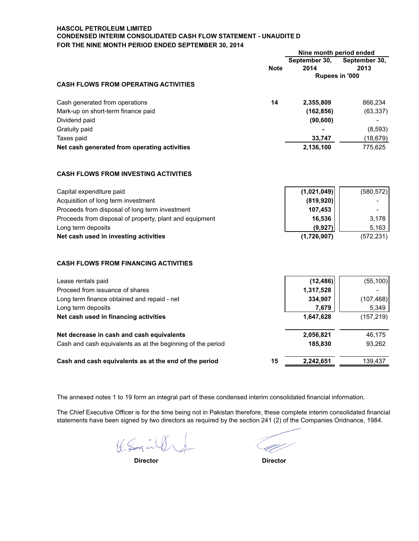# **HASCOL PETROLEUM LIMITED CONDENSED INTERIM CONSOLIDATED CASH FLOW STATEMENT - UNAUDITE D FOR THE NINE MONTH PERIOD ENDED SEPTEMBER 30, 2014**

|                                                             | Nine month period ended |               |                |
|-------------------------------------------------------------|-------------------------|---------------|----------------|
|                                                             |                         | September 30, | September 30,  |
|                                                             | <b>Note</b>             | 2014          | 2013           |
|                                                             |                         |               | Rupees in '000 |
| <b>CASH FLOWS FROM OPERATING ACTIVITIES</b>                 |                         |               |                |
| Cash generated from operations                              | 14                      | 2,355,809     | 866,234        |
| Mark-up on short-term finance paid                          |                         | (162, 856)    | (63, 337)      |
| Dividend paid                                               |                         | (90, 600)     |                |
| Gratuity paid                                               |                         |               | (8,593)        |
| Taxes paid                                                  |                         | 33,747        | (18, 679)      |
| Net cash generated from operating activities                |                         | 2,136,100     | 775,625        |
| <b>CASH FLOWS FROM INVESTING ACTIVITIES</b>                 |                         |               |                |
| Capital expenditure paid                                    |                         | (1,021,049)   | (580, 572)     |
| Acquisition of long term investment                         |                         | (819, 920)    |                |
| Proceeds from disposal of long term investment              |                         | 107,453       |                |
| Proceeds from disposal of property, plant and equipment     |                         | 16,536        | 3,178          |
| Long term deposits                                          |                         | (9, 927)      | 5,163          |
| Net cash used in investing activities                       |                         | (1,726,907)   | (572, 231)     |
| <b>CASH FLOWS FROM FINANCING ACTIVITIES</b>                 |                         |               |                |
| Lease rentals paid                                          |                         | (12, 486)     | (55, 100)      |
| Proceed from issuance of shares                             |                         | 1,317,528     |                |
| Long term finance obtained and repaid - net                 |                         | 334,907       | (107, 468)     |
| Long term deposits                                          |                         | 7,679         | 5,349          |
| Net cash used in financing activities                       |                         | 1,647,628     | (157, 219)     |
| Net decrease in cash and cash equivalents                   |                         | 2,056,821     | 46,175         |
| Cash and cash equivalents as at the beginning of the period |                         | 185,830       | 93,262         |
| Cash and cash equivalents as at the end of the period       | 15                      | 2,242,651     | 139,437        |

The annexed notes 1 to 19 form an integral part of these condensed interim consolidated financial information.

The Chief Executive Officer is for the time being not in Pakistan therefore, these complete interim consolidated financial statements have been signed by two directors as required by the section 241 (2) of the Companies Oridnance, 1984.

K. Saguild

 **Director Director**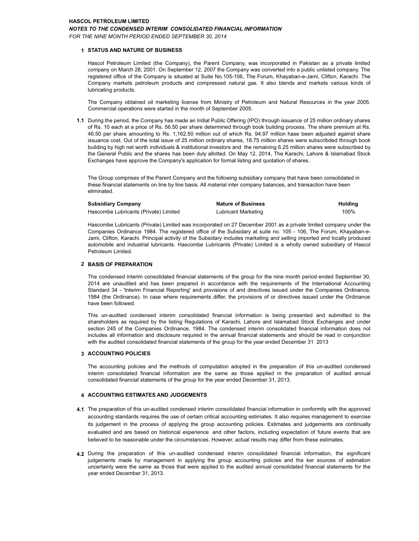### **HASCOL PETROLEUM LIMITED**

#### *NOTES TO THE CONDENSED INTERIM CONSOLIDATED FINANCIAL INFORMATION*

*FOR THE NINE MONTH PERIOD ENDED SEPTEMBER 30, 2014*

#### **1 STATUS AND NATURE OF BUSINESS**

Hascol Petroleum Limited (the Company), the Parent Company, was incorporated in Pakistan as a private limited company on March 28, 2001. On September 12, 2007 the Company was converted into a public unlisted company. The registered office of the Company is situated at Suite No.105-106, The Forum, Khayaban-e-Jami, Clifton, Karachi. The Company markets petroleum products and compressed natural gas. It also blends and markets various kinds of lubricating products.

The Company obtained oil marketing license from Ministry of Petroleum and Natural Resources in the year 2005. Commercial operations were started in the month of September 2005.

**1.1** During the period, the Company has made an Initial Public Offering (IPO) through issuance of 25 million ordinary shares of Rs. 10 each at a price of Rs. 56.50 per share determined through book building process. The share premium at Rs. 46.50 per share amounting to Rs. 1,162.50 million out of which Rs. 94.97 million hase been adjusted against share issuance cost. Out of the total issue of 25 million ordinary shares, 18.75 million shares were subscribded through book building by high net worth individuals & institutional investors and the remaining 6.25 million shares were subscribed by the General Public and the shares has been duly allotted. On May 12, 2014, The Karachi, Lahore & Islamabad Stock Exchanges have approve the Company's application for formal listing and quotation of shares.

The Group comprises of the Parent Company and the following subsidiary company that have been consolidated in these financial statements on line by line basis. All material inter company balances, and transaction have been eliminated.

| <b>Subsidiary Company</b>             | <b>Nature of Business</b>  | Holding |
|---------------------------------------|----------------------------|---------|
| Hascombe Lubricants (Private) Limited | <b>Lubricant Marketing</b> | 100%    |

Hascombe Lubricants (Private) Limited was incorporated on 27 December 2001 as a private limited company under the Companies Ordinance 1984. The registered office of the Subsidary at suite no. 105 - 106, The Forum, Khayaban-e-Jami, Clifton, Karachi. Principal activity of the Subsidary includes marketing and selling imported and locally produced automobile and industrial lubricants. Hascombe Lubricants (Private) Limited is a wholly owned subsidiary of Hascol Petroleum Limited.

### **2 BASIS OF PREPARATION**

The condensed interim consolidated financial statements of the group for the nine month period ended September 30, 2014 are unaudited and has been prepared in accordance with the requirements of the International Accounting Standard 34 - 'Interim Financial Reporting' and provisions of and directives issued under the Companies Ordinance, 1984 (the Ordinance). In case where requirements differ, the provisions of or directives issued under the Ordinance have been followed.

This un-audited condensed interim consolidated financial information is being presented and submitted to the shareholders as required by the listing Regulations of Karachi, Lahore and Islamabad Stock Exchanges and under section 245 of the Companies Ordinance, 1984. The condensed interim consolidated financial information does not includes all information and disclosure required in the annual financial statements and should be read in conjunction with the audited consolidated financial statements of the group for the year ended December 31 2013

### **3 ACCOUNTING POLICIES**

The accounting policies and the methods of computation adopted in the preparation of this un-audited condensed interim consolidated financial information are the same as those applied in the preparation of audited annual consolidated financial statements of the group for the year ended December 31, 2013.

### **4 ACCOUNTING ESTIMATES AND JUDGEMENTS**

- **4.1** The preparation of this un-audited condensed interim consolidated financial information in conformity with the approved accounting standards requires the use of certain critical accounting estimates. It also requires management to exercise its judgement in the process of applying the group accounting policies. Estimates and judgements are continually evaluated and are based on historical experience and other factors, including expectation of future events that are believed to be reasonable under the circumstances. However, actual results may differ from these estimates.
- **4.2** During the preparation of this un-audited condensed interim consolidated financial information, the significant judgements made by management in applying the group accounting policies and the ker sources of estimation uncertainly were the same as those that were applied to the audited annual consolidated financial statements for the year ended December 31, 2013.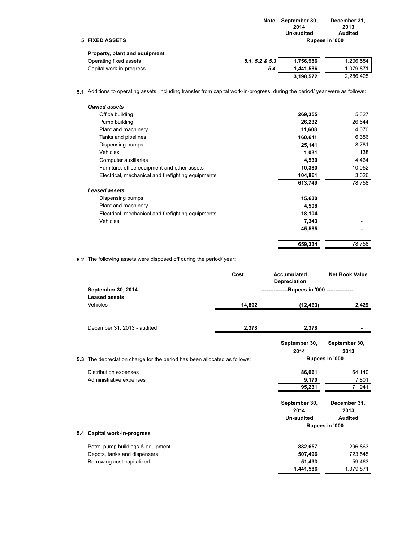|                                | Note           | September 30,<br>2014<br>Un-audited                                                                                                                                                                                                                                                                                                                                                  | December 31,<br>2013<br>Audited |
|--------------------------------|----------------|--------------------------------------------------------------------------------------------------------------------------------------------------------------------------------------------------------------------------------------------------------------------------------------------------------------------------------------------------------------------------------------|---------------------------------|
| 5 FIXED ASSETS                 |                |                                                                                                                                                                                                                                                                                                                                                                                      | Rupees in '000                  |
| Property, plant and equipment  |                |                                                                                                                                                                                                                                                                                                                                                                                      |                                 |
| Operating fixed assets         | 5.1, 5.2 & 5.3 | 1,756,986                                                                                                                                                                                                                                                                                                                                                                            | 1,206,554                       |
| Orachel conditions are control | . .            | $\overline{1}$ $\overline{1}$ $\overline{1}$ $\overline{1}$ $\overline{1}$ $\overline{1}$ $\overline{1}$ $\overline{1}$ $\overline{1}$ $\overline{1}$ $\overline{1}$ $\overline{1}$ $\overline{1}$ $\overline{1}$ $\overline{1}$ $\overline{1}$ $\overline{1}$ $\overline{1}$ $\overline{1}$ $\overline{1}$ $\overline{1}$ $\overline{1}$ $\overline{1}$ $\overline{1}$ $\overline{$ | 1.070.071                       |

| Operating fixed assets   | $5.1.5.2 \& 5.3$ | 1.756.986 | M206.554 I |
|--------------------------|------------------|-----------|------------|
| Capital work-in-progress |                  | 1.441.586 | 1.079.871  |
|                          |                  | 3.198.572 | 2.286.425  |

**5.1** Additions to operating assets, including transfer from capital work-in-progress, during the period/ year were as follows:

| <b>Owned assets</b>                                |         |        |
|----------------------------------------------------|---------|--------|
| Office building                                    | 269,355 | 5,327  |
| Pump building                                      | 26,232  | 26,544 |
| Plant and machinery                                | 11,608  | 4,070  |
| Tanks and pipelines                                | 160,611 | 6,356  |
| Dispensing pumps                                   | 25,141  | 8,781  |
| <b>Vehicles</b>                                    | 1,031   | 138    |
| Computer auxiliaries                               | 4,530   | 14,464 |
| Furniture, office equipment and other assets       | 10,380  | 10,052 |
| Electrical, mechanical and firefighting equipments | 104,861 | 3,026  |
|                                                    | 613,749 | 78,758 |
| <b>Leased assets</b>                               |         |        |
| Dispensing pumps                                   | 15,630  |        |
| Plant and machinery                                | 4,508   |        |
| Electrical, mechanical and firefighting equipments | 18,104  |        |
| <b>Vehicles</b>                                    | 7,343   |        |
|                                                    | 45,585  |        |
|                                                    | 659,334 | 78,758 |
|                                                    |         |        |

**5.2** The following assets were disposed off during the period/ year:

| September 30, 2014                                                        | Cost   | Accumulated<br><b>Depreciation</b><br>---------------Rupees in '000 --------------- | <b>Net Book Value</b> |
|---------------------------------------------------------------------------|--------|-------------------------------------------------------------------------------------|-----------------------|
| <b>Leased assets</b>                                                      |        |                                                                                     |                       |
| Vehicles                                                                  | 14,892 | (12, 463)                                                                           | 2,429                 |
| December 31, 2013 - audited                                               | 2,378  | 2,378                                                                               |                       |
|                                                                           |        | September 30,                                                                       | September 30,         |
|                                                                           |        | 2014                                                                                | 2013                  |
| 5.3 The depreciation charge for the period has been allocated as follows: |        |                                                                                     | Rupees in '000        |
| Distribution expenses                                                     |        | 86,061                                                                              | 64,140                |
| Administrative expenses                                                   |        | 9,170                                                                               | 7,801                 |
|                                                                           |        | 95,231                                                                              | 71,941                |
|                                                                           |        | September 30,                                                                       | December 31,          |
|                                                                           |        | 2014                                                                                | 2013                  |
|                                                                           |        | <b>Un-audited</b>                                                                   | <b>Audited</b>        |
|                                                                           |        |                                                                                     | Rupees in '000        |
| 5.4 Capital work-in-progress                                              |        |                                                                                     |                       |
| Petrol pump buildings & equipment                                         |        | 882,657                                                                             | 296,863               |
| Depots, tanks and dispensers                                              |        | 507,496                                                                             | 723,545               |
| Borrowing cost capitalized                                                |        | 51,433                                                                              | 59,463                |
|                                                                           |        | 1,441,586                                                                           | 1,079,871             |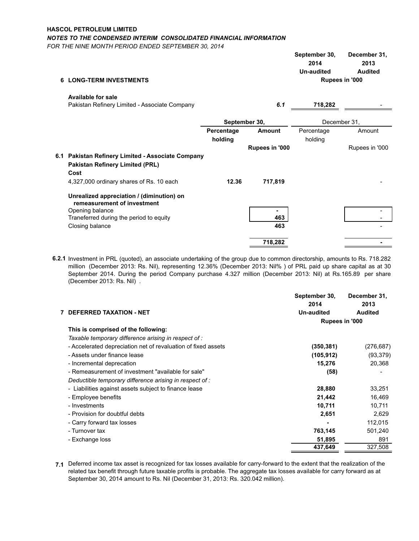# **HASCOL PETROLEUM LIMITED**

*NOTES TO THE CONDENSED INTERIM CONSOLIDATED FINANCIAL INFORMATION*

*FOR THE NINE MONTH PERIOD ENDED SEPTEMBER 30, 2014*

|   |                                                                                                     |                       |                | September 30,<br>2014<br><b>Un-audited</b> | December 31,<br>2013<br>Audited |
|---|-----------------------------------------------------------------------------------------------------|-----------------------|----------------|--------------------------------------------|---------------------------------|
| 6 | <b>LONG-TERM INVESTMENTS</b>                                                                        |                       |                |                                            | Rupees in '000                  |
|   | <b>Available for sale</b><br>Pakistan Refinery Limited - Associate Company                          |                       | 6.1            | 718,282                                    |                                 |
|   |                                                                                                     |                       | September 30,  |                                            | December 31.                    |
|   |                                                                                                     | Percentage<br>holding | Amount         | Percentage<br>holding                      | Amount                          |
|   |                                                                                                     |                       | Rupees in '000 |                                            | Rupees in '000                  |
|   | 6.1 Pakistan Refinery Limited - Associate Company<br><b>Pakistan Refinery Limited (PRL)</b><br>Cost |                       |                |                                            |                                 |
|   | 4,327,000 ordinary shares of Rs. 10 each                                                            | 12.36                 | 717,819        |                                            |                                 |
|   | Unrealized appreciation / (diminution) on<br>remeasurement of investment                            |                       |                |                                            |                                 |
|   | Opening balance                                                                                     |                       |                |                                            |                                 |
|   | Traneferred during the period to equity                                                             |                       | 463            |                                            |                                 |
|   | Closing balance                                                                                     |                       | 463            |                                            |                                 |
|   |                                                                                                     |                       | 718,282        |                                            |                                 |

**6.2.1** Investment in PRL (quoted), an associate undertaking of the group due to common directorship, amounts to Rs. 718.282 million (December 2013: Rs. Nil), representing 12.36% (December 2013: Nil% ) of PRL paid up share capital as at 30 September 2014. During the period Company purchase 4.327 million (December 2013: Nil) at Rs.165.89 per share (December 2013: Rs. Nil) .

|                                                               | September 30,<br>2014 | December 31,<br>2013 |  |
|---------------------------------------------------------------|-----------------------|----------------------|--|
| <b>DEFERRED TAXATION - NET</b>                                | <b>Un-audited</b>     | <b>Audited</b>       |  |
|                                                               |                       | Rupees in '000       |  |
| This is comprised of the following:                           |                       |                      |  |
| Taxable temporary difference arising in respect of :          |                       |                      |  |
| - Accelerated depreciation net of revaluation of fixed assets | (350, 381)            | (276,687)            |  |
| - Assets under finance lease                                  | (105, 912)            | (93,379)             |  |
| - Incremental deprecation                                     | 15,276                | 20,368               |  |
| - Remeasurement of investment "available for sale"            | (58)                  |                      |  |
| Deductible temporary difference arising in respect of :       |                       |                      |  |
| - Liabilities against assets subject to finance lease         | 28,880                | 33,251               |  |
| - Employee benefits                                           | 21,442                | 16,469               |  |
| - Investments                                                 | 10,711                | 10,711               |  |
| - Provision for doubtful debts                                | 2,651                 | 2,629                |  |
| - Carry forward tax losses                                    |                       | 112,015              |  |
| - Turnover tax                                                | 763,145               | 501,240              |  |
| - Exchange loss                                               | 51,895                | 891                  |  |
|                                                               | 437,649               | 327,508              |  |

**7.1** Deferred income tax asset is recognized for tax losses available for carry-forward to the extent that the realization of the related tax benefit through future taxable profits is probable. The aggregate tax losses available for carry forward as at September 30, 2014 amount to Rs. Nil (December 31, 2013: Rs. 320.042 million).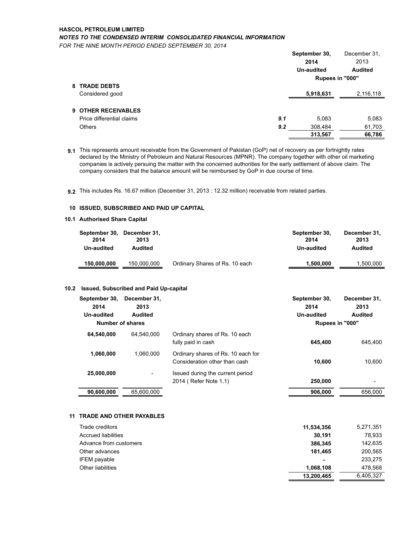# **HASCOL PETROLEUM LIMITED** *NOTES TO THE CONDENSED INTERIM CONSOLIDATED FINANCIAL INFORMATION*

*FOR THE NINE MONTH PERIOD ENDED SEPTEMBER 30, 2014*

|                           |     | September 30,     | December 31,   |
|---------------------------|-----|-------------------|----------------|
|                           |     | 2014              | 2013           |
|                           |     | <b>Un-audited</b> | <b>Audited</b> |
|                           |     | Rupees in "000"   |                |
| 8 TRADE DEBTS             |     |                   |                |
| Considered good           |     | 5,918,631         | 2,116,118      |
|                           |     |                   |                |
| 9 OTHER RECEIVABLES       |     |                   |                |
| Price differential claims | 9.1 | 5,083             | 5,083          |
| <b>Others</b>             | 9.2 | 308,484           | 61,703         |
|                           |     | 313,567           | 66,786         |
|                           |     |                   |                |

**9.1 9.2**  9.1 This represents amount receivable from the Government of Pakistan (GoP) net of recovery as per fortnightly rates declared by the Ministry of Petroleum and Natural Resources (MPNR). The company together with other oil marketing companies is actively persuing the matter with the concerned authorities for the early settlement of above claim. The company considers that the balance amount will be reimbursed by GoP in due course of time.

9.2 This includes Rs. 16.67 million (December 31, 2013 : 12.32 million) receivable from related parties.

### **10 ISSUED, SUBSCRIBED AND PAID UP CAPITAL**

### **10.1 Authorised Share Capital**

| September 30, December 31,<br>2014<br>Un-audited | 2013<br>Audited |                                | September 30,<br>2014<br>Un-audited | December 31,<br>2013<br><b>Audited</b> |
|--------------------------------------------------|-----------------|--------------------------------|-------------------------------------|----------------------------------------|
| 150,000,000                                      | 150,000,000     | Ordinary Shares of Rs. 10 each | 1.500.000                           | 1,500,000                              |

## **10.2 Issued, Subscribed and Paid Up-capital**

| September 30,<br>2014<br>Un-audited | December 31.<br>2013<br>Audited<br>Number of shares |                                                                     | September 30,<br>2014<br>Un-audited<br>Rupees in "000" | December 31.<br>2013<br><b>Audited</b> |
|-------------------------------------|-----------------------------------------------------|---------------------------------------------------------------------|--------------------------------------------------------|----------------------------------------|
| 64.540.000                          | 64.540.000                                          | Ordinary shares of Rs. 10 each<br>fully paid in cash                | 645.400                                                | 645.400                                |
| 1.060.000                           | 1.060.000                                           | Ordinary shares of Rs. 10 each for<br>Consideration other than cash | 10.600                                                 | 10.600                                 |
| 25,000,000                          | ٠                                                   | Issued during the current period<br>2014 (Refer Note 1.1)           | 250,000                                                |                                        |
| 90,600,000                          | 65.600.000                                          |                                                                     | 906.000                                                | 656,000                                |

### **11 TRADE AND OTHER PAYABLES**

| Trade creditors            | 11,534,356     | 5,271,351 |
|----------------------------|----------------|-----------|
| <b>Accrued liabilities</b> | 30.191         | 78.933    |
| Advance from customers     | 386.345        | 142,635   |
| Other advances             | 181.465        | 200,565   |
| <b>IFEM</b> payable        | $\blacksquare$ | 233,275   |
| Other liabilities          | 1.068.108      | 478.568   |
|                            | 13,200,465     | 6,405,327 |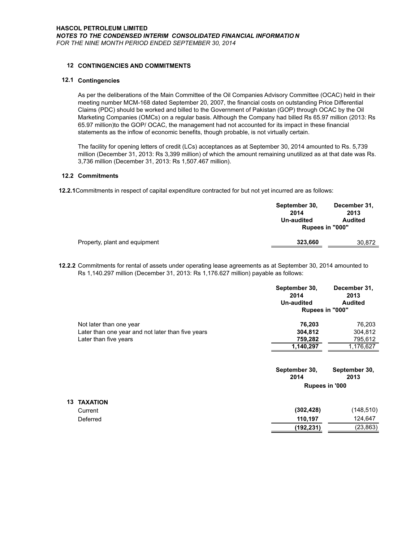# **12 CONTINGENCIES AND COMMITMENTS**

### **12.1 Contingencies**

As per the deliberations of the Main Committee of the Oil Companies Advisory Committee (OCAC) held in their meeting number MCM-168 dated September 20, 2007, the financial costs on outstanding Price Differential Claims (PDC) should be worked and billed to the Government of Pakistan (GOP) through OCAC by the Oil Marketing Companies (OMCs) on a regular basis. Although the Company had billed Rs 65.97 million (2013: Rs 65.97 million)to the GOP/ OCAC, the management had not accounted for its impact in these financial statements as the inflow of economic benefits, though probable, is not virtually certain.

The facility for opening letters of credit (LCs) acceptances as at September 30, 2014 amounted to Rs. 5,739 million (December 31, 2013: Rs 3,399 million) of which the amount remaining unutilized as at that date was Rs. 3,736 million (December 31, 2013: Rs 1,507.467 million).

# **12.2 Commitments**

**12.2.1**Commitments in respect of capital expenditure contracted for but not yet incurred are as follows:

|                               | September 30,<br>2014 | December 31,<br>2013 |  |
|-------------------------------|-----------------------|----------------------|--|
|                               | Un-audited            | <b>Audited</b>       |  |
|                               | Rupees in "000"       |                      |  |
| Property, plant and equipment | 323,660               | 30.872               |  |
|                               |                       |                      |  |

**12.2.2** Commitments for rental of assets under operating lease agreements as at September 30, 2014 amounted to Rs 1,140.297 million (December 31, 2013: Rs 1,176.627 million) payable as follows:

|    |                                                   | September 30,<br>2014<br>Un-audited | December 31,<br>2013<br><b>Audited</b> |
|----|---------------------------------------------------|-------------------------------------|----------------------------------------|
|    |                                                   | Rupees in "000"                     |                                        |
|    | Not later than one year                           | 76,203                              | 76,203                                 |
|    | Later than one year and not later than five years | 304,812                             | 304,812                                |
|    | Later than five years                             | 759,282                             | 795,612                                |
|    |                                                   | 1,140,297                           | 1,176,627                              |
|    |                                                   | September 30,<br>2014               | September 30,<br>2013                  |
|    |                                                   | Rupees in '000                      |                                        |
| 13 | <b>TAXATION</b>                                   |                                     |                                        |
|    | Current                                           | (302, 428)                          | (148, 510)                             |
|    | Deferred                                          | 110,197                             | 124,647                                |
|    |                                                   | (192, 231)                          | (23,863)                               |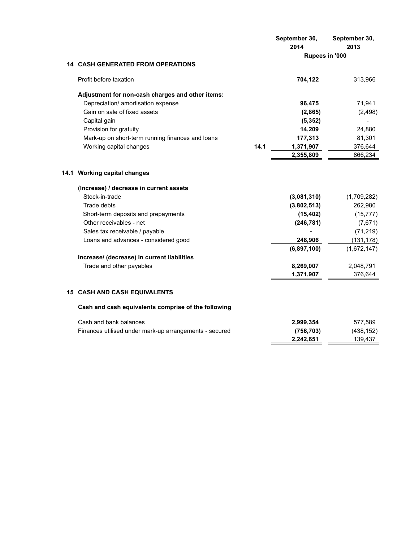|                                                        |      | September 30,<br>2014 | September 30,<br>2013 |
|--------------------------------------------------------|------|-----------------------|-----------------------|
|                                                        |      | Rupees in '000        |                       |
| <b>14 CASH GENERATED FROM OPERATIONS</b>               |      |                       |                       |
| Profit before taxation                                 |      | 704,122               | 313,966               |
| Adjustment for non-cash charges and other items:       |      |                       |                       |
| Depreciation/ amortisation expense                     |      | 96,475                | 71,941                |
| Gain on sale of fixed assets                           |      | (2,865)               | (2, 498)              |
| Capital gain                                           |      | (5, 352)              |                       |
| Provision for gratuity                                 |      | 14,209                | 24,880                |
| Mark-up on short-term running finances and loans       |      | 177,313               | 81,301                |
| Working capital changes                                | 14.1 | 1,371,907             | 376,644               |
|                                                        |      | 2,355,809             | 866,234               |
| 14.1 Working capital changes                           |      |                       |                       |
| (Increase) / decrease in current assets                |      |                       |                       |
| Stock-in-trade                                         |      | (3,081,310)           | (1,709,282)           |
| <b>Trade debts</b>                                     |      | (3,802,513)           | 262,980               |
| Short-term deposits and prepayments                    |      | (15, 402)             | (15, 777)             |
| Other receivables - net                                |      | (246, 781)            | (7,671)               |
| Sales tax receivable / payable                         |      |                       | (71, 219)             |
| Loans and advances - considered good                   |      | 248,906               | (131, 178)            |
|                                                        |      | (6,897,100)           | (1,672,147)           |
| Increase/ (decrease) in current liabilities            |      |                       |                       |
| Trade and other payables                               |      | 8,269,007             | 2,048,791             |
|                                                        |      | 1,371,907             | 376,644               |
| <b>15 CASH AND CASH EQUIVALENTS</b>                    |      |                       |                       |
| Cash and cash equivalents comprise of the following    |      |                       |                       |
| Cash and bank balances                                 |      | 2,999,354             | 577,589               |
| Finances utilised under mark-up arrangements - secured |      | (756, 703)            | (438, 152)            |
|                                                        |      | 2,242,651             | 139,437               |